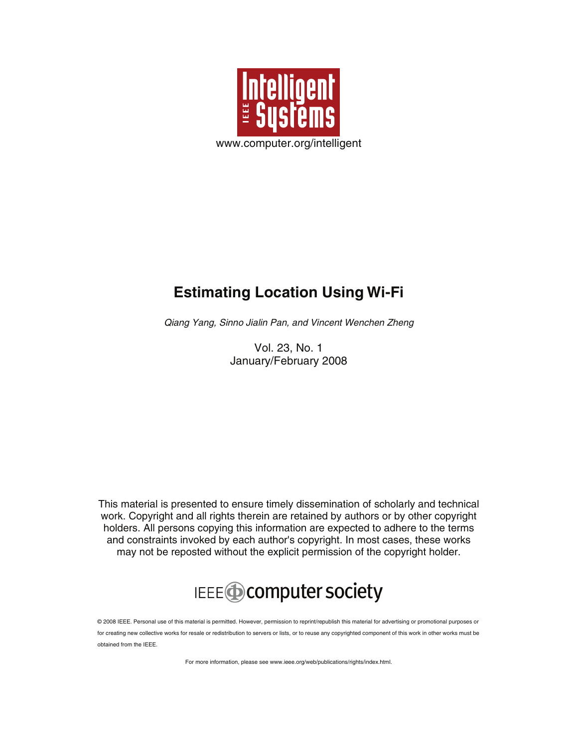

## **Estimating Location Using Wi-Fi**

Qiang Yang, Sinno Jialin Pan, and Vincent Wenchen Zheng

Vol. 23, No. 1 January/February 2008

This material is presented to ensure timely dissemination of scholarly and technical work. Copyright and all rights therein are retained by authors or by other copyright holders. All persons copying this information are expected to adhere to the terms and constraints invoked by each author's copyright. In most cases, these works may not be reposted without the explicit permission of the copyright holder.

## IEEE **Computer society**

© 2008 IEEE. Personal use of this material is permitted. However, permission to reprint/republish this material for advertising or promotional purposes or for creating new collective works for resale or redistribution to servers or lists, or to reuse any copyrighted component of this work in other works must be obtained from the IEEE.

For more information, please see www.ieee.org/web/publications/rights/index.html.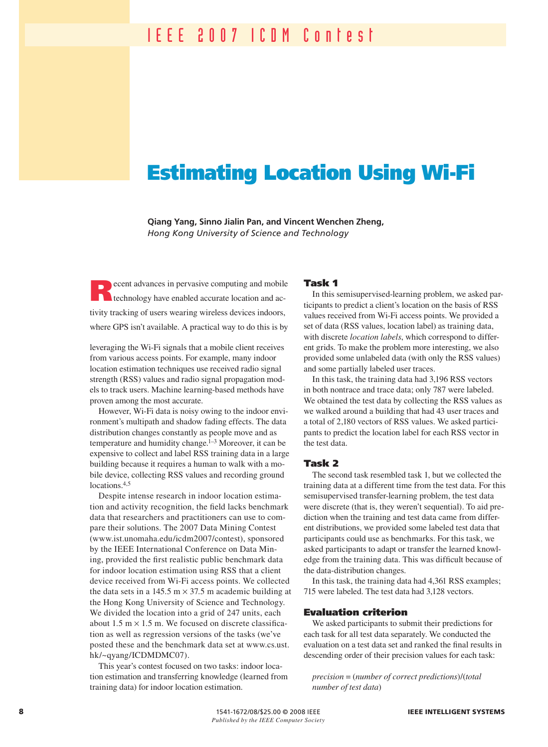## Estimating Location Using Wi-Fi

**Qiang Yang, Sinno Jialin Pan, and Vincent Wenchen Zheng,**  *Hong Kong University of Science and Technology*

ecent advances in pervasive computing and mobile technology have enabled accurate location and activity tracking of users wearing wireless devices indoors, where GPS isn't available. A practical way to do this is by

leveraging the Wi-Fi signals that a mobile client receives from various access points. For example, many indoor location estimation techniques use received radio signal strength (RSS) values and radio signal propagation models to track users. Machine learning-based methods have proven among the most accurate.

However, Wi-Fi data is noisy owing to the indoor environment's multipath and shadow fading effects. The data distribution changes constantly as people move and as temperature and humidity change.<sup>1–3</sup> Moreover, it can be expensive to collect and label RSS training data in a large building because it requires a human to walk with a mobile device, collecting RSS values and recording ground locations.4,5

Despite intense research in indoor location estimation and activity recognition, the field lacks benchmark data that researchers and practitioners can use to compare their solutions. The 2007 Data Mining Contest (www.ist.unomaha.edu/icdm2007/contest), sponsored by the IEEE International Conference on Data Mining, provided the first realistic public benchmark data for indoor location estimation using RSS that a client device received from Wi-Fi access points. We collected the data sets in a 145.5  $m \times 37.5$  m academic building at the Hong Kong University of Science and Technology. We divided the location into a grid of 247 units, each about 1.5 m  $\times$  1.5 m. We focused on discrete classification as well as regression versions of the tasks (we've posted these and the benchmark data set at www.cs.ust. hk/~qyang/ICDMDMC07).

This year's contest focused on two tasks: indoor location estimation and transferring knowledge (learned from training data) for indoor location estimation.

#### Task 1

In this semisupervised-learning problem, we asked participants to predict a client's location on the basis of RSS values received from Wi-Fi access points. We provided a set of data (RSS values, location label) as training data, with discrete *location labels*, which correspond to different grids. To make the problem more interesting, we also provided some unlabeled data (with only the RSS values) and some partially labeled user traces.

In this task, the training data had 3,196 RSS vectors in both nontrace and trace data; only 787 were labeled. We obtained the test data by collecting the RSS values as we walked around a building that had 43 user traces and a total of 2,180 vectors of RSS values. We asked participants to predict the location label for each RSS vector in the test data.

#### Task 2

The second task resembled task 1, but we collected the training data at a different time from the test data. For this semisupervised transfer-learning problem, the test data were discrete (that is, they weren't sequential). To aid prediction when the training and test data came from different distributions, we provided some labeled test data that participants could use as benchmarks. For this task, we asked participants to adapt or transfer the learned knowledge from the training data. This was difficult because of the data-distribution changes.

In this task, the training data had 4,361 RSS examples; 715 were labeled. The test data had 3,128 vectors.

#### Evaluation criterion

We asked participants to submit their predictions for each task for all test data separately. We conducted the evaluation on a test data set and ranked the final results in descending order of their precision values for each task:

*precision* = (*number of correct predictions*)/(*total number of test data*)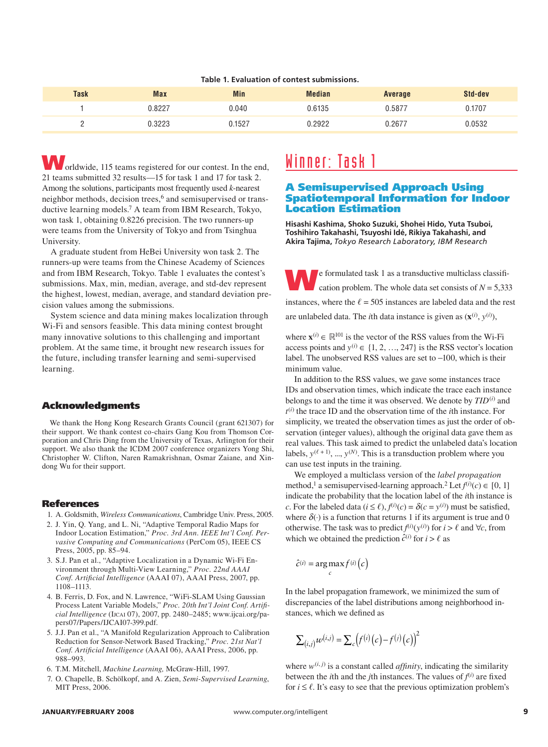#### **Table 1. Evaluation of contest submissions.**

| <b>Task</b> | <b>Max</b> | <b>Min</b> | Median | <b>Average</b> | Std-dev |
|-------------|------------|------------|--------|----------------|---------|
|             | J.8227     | 0.040      | 0.6135 | 0.5877         | 0.1707  |
|             | J.3223     | 1527.ر     | .2922  | 0.267          | 0.0532  |

orldwide, 115 teams registered for our contest. In the end, 21 teams submitted 32 results—15 for task 1 and 17 for task 2. Among the solutions, participants most frequently used *k*-nearest neighbor methods, decision trees,<sup>6</sup> and semisupervised or transductive learning models.7 A team from IBM Research, Tokyo, won task 1, obtaining 0.8226 precision. The two runners-up were teams from the University of Tokyo and from Tsinghua University.

A graduate student from HeBei University won task 2. The runners-up were teams from the Chinese Academy of Sciences and from IBM Research, Tokyo. Table 1 evaluates the contest's submissions. Max, min, median, average, and std-dev represent the highest, lowest, median, average, and standard deviation precision values among the submissions.

System science and data mining makes localization through Wi-Fi and sensors feasible. This data mining contest brought many innovative solutions to this challenging and important problem. At the same time, it brought new research issues for the future, including transfer learning and semi-supervised learning.

#### Acknowledgments

We thank the Hong Kong Research Grants Council (grant 621307) for their support. We thank contest co-chairs Gang Kou from Thomson Corporation and Chris Ding from the University of Texas, Arlington for their support. We also thank the ICDM 2007 conference organizers Yong Shi, Christopher W. Clifton, Naren Ramakrishnan, Osmar Zaiane, and Xindong Wu for their support.

#### References

- 1. A. Goldsmith, *Wireless Communications*, Cambridge Univ. Press, 2005.
- 2. J. Yin, Q. Yang, and L. Ni, "Adaptive Temporal Radio Maps for Indoor Location Estimation," *Proc. 3rd Ann. IEEE Int'l Conf. Pervasive Computing and Communications* (PerCom 05), IEEE CS Press, 2005, pp. 85–94.
- 3. S.J. Pan et al., "Adaptive Localization in a Dynamic Wi-Fi Environment through Multi-View Learning," *Proc. 22nd AAAI Conf. Artificial Intelligence* (AAAI 07), AAAI Press, 2007, pp. 1108–1113.
- 4. B. Ferris, D. Fox, and N. Lawrence, "WiFi-SLAM Using Gaussian Process Latent Variable Models," *Proc. 20th Int'l Joint Conf. Artificial Intelligence* (IJCAI 07), 2007, pp. 2480-2485; www.ijcai.org/papers07/Papers/IJCAI07-399.pdf.
- 5. J.J. Pan et al., "A Manifold Regularization Approach to Calibration Reduction for Sensor-Network Based Tracking," *Proc. 21st Nat'l Conf. Artificial Intelligence* (AAAI 06), AAAI Press, 2006, pp. 988–993.
- 6. T.M. Mitchell, *Machine Learning,* McGraw-Hill, 1997.
- 7. O. Chapelle, B. Schölkopf, and A. Zien, *Semi-Supervised Learning*, MIT Press, 2006.

### Winner: Task 1

#### A Semisupervised Approach Using Spatiotemporal Information for Indoor Location Estimation

**Hisashi Kashima, Shoko Suzuki, Shohei Hido, Yuta Tsuboi, Toshihiro Takahashi, Tsuyoshi Idé, Rikiya Takahashi, and Akira Tajima,** *Tokyo Research Laboratory, IBM Research*

**We formulated task 1 as a transductive multiclass classification problem. The whole data set consists of** *N* **= 5,333** instances, where the  $\ell = 505$  instances are labeled data and the rest are unlabeled data. The *i*th data instance is given as  $(\mathbf{x}^{(i)}, y^{(i)})$ ,

where  $\mathbf{x}^{(i)} \in \mathbb{R}^{101}$  is the vector of the RSS values from the Wi-Fi access points and  $y^{(i)} \in \{1, 2, ..., 247\}$  is the RSS vector's location label. The unobserved RSS values are set to −100, which is their minimum value.

In addition to the RSS values, we gave some instances trace IDs and observation times, which indicate the trace each instance belongs to and the time it was observed. We denote by *TID*(*i*) and *t*(*i*) the trace ID and the observation time of the *i*th instance. For simplicity, we treated the observation times as just the order of observation (integer values), although the original data gave them as real values. This task aimed to predict the unlabeled data's location labels,  $y^{(\ell+1)}$ , ...,  $y^{(N)}$ . This is a transduction problem where you can use test inputs in the training.

We employed a multiclass version of the *label propagation* method,<sup>1</sup> a semisupervised-learning approach.<sup>2</sup> Let  $f^{(i)}(c) \in [0, 1]$ indicate the probability that the location label of the *i*th instance is *c*. For the labeled data ( $i \le \ell$ ),  $f^{(i)}(c) = \delta(c = y^{(i)})$  must be satisfied, where  $\delta(\cdot)$  is a function that returns 1 if its argument is true and 0 otherwise. The task was to predict  $f^{(i)}(y^{(i)})$  for  $i > \ell$  and  $\forall c$ , from which we obtained the prediction  $\hat{c}^{(i)}$  for  $i > \ell$  as

$$
\hat{c}^{(i)} = \arg\max_{c} f^{(i)}(c)
$$

In the label propagation framework, we minimized the sum of discrepancies of the label distributions among neighborhood instances, which we defined as

$$
\sum_{(i,j)} w^{(i,j)} = \sum_{c} \left( f^{(i)}(c) - f^{(j)}(c) \right)^2
$$

where  $w^{(i,j)}$  is a constant called *affinity*, indicating the similarity between the *i*th and the *j*th instances. The values of  $f^{(i)}$  are fixed for  $i \leq \ell$ . It's easy to see that the previous optimization problem's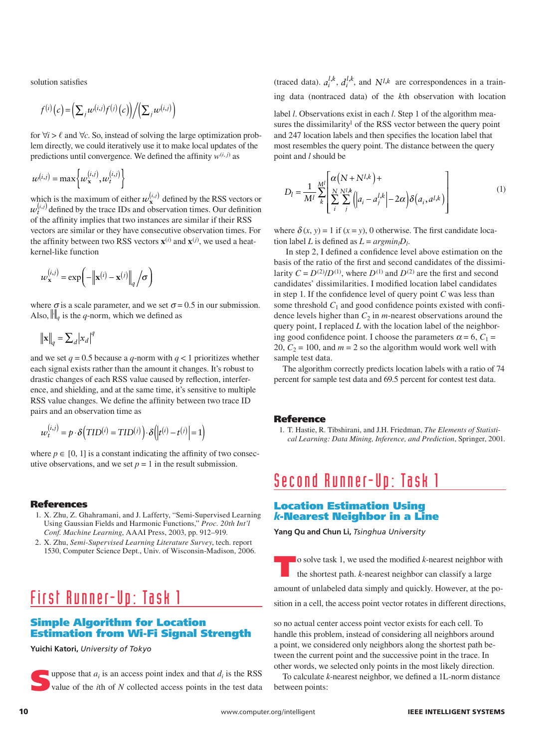solution satisfies

$$
f^{(i)}(c) = \left(\sum_{j} w^{(i,j)} f^{(j)}(c)\right) / \left(\sum_{j} w^{(i,j)}\right)
$$

for  $\forall i > \ell$  and  $\forall c$ . So, instead of solving the large optimization problem directly, we could iteratively use it to make local updates of the predictions until convergence. We defined the affinity  $w^{(i,j)}$  as

$$
w^{(i,j)} = \max \left\{ w_{\mathbf{x}}^{(i,j)}, w_t^{(i,j)} \right\}
$$

which is the maximum of either  $w_{\mathbf{x}}^{(i,j)}$  defined by the RSS vectors or  $w_t^{(i,j)}$  defined by the trace IDs and observation times. Our definition of the affinity implies that two instances are similar if their RSS vectors are similar or they have consecutive observation times. For the affinity between two RSS vectors  $\mathbf{x}^{(i)}$  and  $\mathbf{x}^{(j)}$ , we used a heatkernel-like function

$$
w_{\mathbf{x}}^{(i,j)} = \exp\biggl(-\bigl\|\mathbf{x}^{(i)} - \mathbf{x}^{(j)}\bigr\|_q\bigg/\sigma\biggr)
$$

where  $\sigma$  is a scale parameter, and we set  $\sigma$  = 0.5 in our submission. Also,  $\| \cdot \|_q$  is the *q*-norm, which we defined as

$$
\|\mathbf{x}\|_q = \sum_d |x_d|^q
$$

and we set  $q = 0.5$  because a  $q$ -norm with  $q < 1$  prioritizes whether each signal exists rather than the amount it changes. It's robust to drastic changes of each RSS value caused by reflection, interference, and shielding, and at the same time, it's sensitive to multiple RSS value changes. We define the affinity between two trace ID pairs and an observation time as

$$
w_t^{(i,j)} = p \cdot \delta\left(TID^{(i)} = TID^{(j)}\right) \cdot \delta\left(\left|t^{(i)} - t^{(j)}\right| = 1\right)
$$

where  $p \in [0, 1]$  is a constant indicating the affinity of two consecutive observations, and we set  $p = 1$  in the result submission.

#### References

- 1. X. Zhu, Z. Ghahramani, and J. Lafferty, "Semi-Supervised Learning Using Gaussian Fields and Harmonic Functions," *Proc. 20th Int'l Conf. Machine Learning*, AAAI Press, 2003, pp. 912–919.
- 2. X. Zhu, *Semi-Supervised Learning Literature Survey*, tech. report 1530, Computer Science Dept., Univ. of Wisconsin-Madison, 2006.

## First Runner-Up: Task 1

#### Simple Algorithm for Location Estimation from Wi-Fi Signal Strength

#### **Yuichi Katori,** *University of Tokyo*

uppose that  $a_i$  is an access point index and that  $d_i$  is the RSS value of the *i*th of *N* collected access points in the test data value of the *i*th of *N* collected access points in the test data

(traced data).  $a_i^{l,k}$ ,  $d_i^{l,k}$ , and  $N^{l,k}$  are correspondences in a training data (nontraced data) of the *k*th observation with location

label *l*. Observations exist in each *l*. Step 1 of the algorithm measures the dissimilarity<sup>1</sup> of the RSS vector between the query point and 247 location labels and then specifies the location label that most resembles the query point. The distance between the query point and *l* should be

$$
D_l = \frac{1}{M^l} \sum_{k}^{Ml} \left[ \sum_{i}^{N} \sum_{j}^{N,l,k} \left( |a_i - a_j^{l,k}| - 2\alpha \right) \delta(a_i, a^{l,k}) \right]
$$
(1)

where  $\delta(x, y) = 1$  if  $(x = y)$ , 0 otherwise. The first candidate location label *L* is defined as  $L = argmin_l D_l$ .

In step 2, I defined a confidence level above estimation on the basis of the ratio of the first and second candidates of the dissimilarity  $C = D^{(2)}/D^{(1)}$ , where  $D^{(1)}$  and  $D^{(2)}$  are the first and second candidates' dissimilarities. I modified location label candidates in step 1. If the confidence level of query point *C* was less than some threshold  $C_1$  and good confidence points existed with confidence levels higher than  $C_2$  in *m*-nearest observations around the query point, I replaced *L* with the location label of the neighboring good confidence point. I choose the parameters  $\alpha = 6$ ,  $C_1 =$ 20,  $C_2 = 100$ , and  $m = 2$  so the algorithm would work well with sample test data.

The algorithm correctly predicts location labels with a ratio of 74 percent for sample test data and 69.5 percent for contest test data.

#### Reference

1. T. Hastie, R. Tibshirani, and J.H. Friedman, *The Elements of Statistical Learning: Data Mining, Inference, and Prediction*, Springer, 2001.

## Second Runner-Up: Task 1

#### Location Estimation Using *k*-Nearest Neighbor in a Line

**Yang Qu and Chun Li,** *Tsinghua University*

To solve task 1, we used the modified *k*-nearest neighbor with the shortest path. *k*-nearest neighbor can classify a large amount of unlabeled data simply and quickly. However, at the position in a cell, the access point vector rotates in different directions,

so no actual center access point vector exists for each cell. To handle this problem, instead of considering all neighbors around a point, we considered only neighbors along the shortest path between the current point and the successive point in the trace. In other words, we selected only points in the most likely direction.

To calculate *k*-nearest neighbor, we defined a 1L-norm distance between points: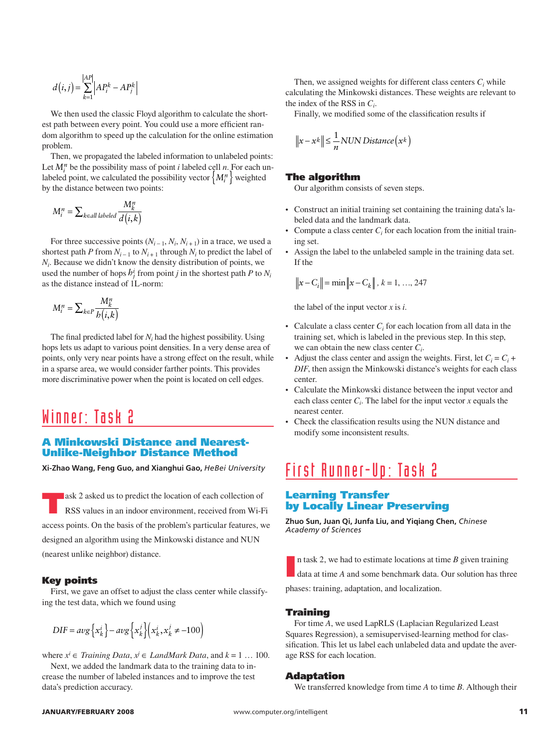$$
d(i,j) = \sum_{k=1}^{|AP|} \left| AP_i^k - AP_j^k \right|
$$

We then used the classic Floyd algorithm to calculate the shortest path between every point. You could use a more efficient random algorithm to speed up the calculation for the online estimation problem.

Then, we propagated the labeled information to unlabeled points: Let  $M_i^n$  be the possibility mass of point *i* labeled cell *n*. For each unlabeled point, we calculated the possibility vector  $\left\{M_i^n\right\}$  weighted by the distance between two points:

$$
M_i^n = \sum_{k \in \text{all labeled}} \frac{M_k^n}{d(i,k)}
$$

For three successive points  $(N_{i-1}, N_i, N_{i+1})$  in a trace, we used a shortest path *P* from  $N_{i-1}$  to  $N_{i+1}$  through  $N_i$  to predict the label of *Ni*. Because we didn't know the density distribution of points, we used the number of hops  $h_j^i$  from point *j* in the shortest path *P* to  $N_i$ as the distance instead of 1L-norm:

$$
M_i^n = \sum_{k \in P} \frac{M_k^n}{b(i,k)}
$$

The final predicted label for  $N_i$  had the highest possibility. Using hops lets us adapt to various point densities. In a very dense area of points, only very near points have a strong effect on the result, while in a sparse area, we would consider farther points. This provides more discriminative power when the point is located on cell edges.

## Winner: Task 2

#### A Minkowski Distance and Nearest-Unlike-Neighbor Distance Method

**Xi-Zhao Wang, Feng Guo, and Xianghui Gao,** *HeBei University*

ask 2 asked us to predict the location of each collection of RSS values in an indoor environment, received from Wi-Fi access points. On the basis of the problem's particular features, we designed an algorithm using the Minkowski distance and NUN (nearest unlike neighbor) distance.

#### Key points

First, we gave an offset to adjust the class center while classifying the test data, which we found using

$$
DIF = avg\left\{x_k^i\right\} - avg\left\{x_k^j\right\} \left(x_k^i, x_k^j \neq -100\right)
$$

where  $x^i$  ∈ *Training Data,*  $x^j$  ∈ *LandMark Data,* and  $k = 1 \dots 100$ . Next, we added the landmark data to the training data to increase the number of labeled instances and to improve the test data's prediction accuracy.

Then, we assigned weights for different class centers  $C<sub>i</sub>$  while calculating the Minkowski distances. These weights are relevant to the index of the RSS in *Ci*.

Finally, we modified some of the classification results if

$$
||x - x^k|| \le \frac{1}{n} NUN Distance(x^k)
$$

#### The algorithm

Our algorithm consists of seven steps.

- Construct an initial training set containing the training data's la-• beled data and the landmark data.
- Compute a class center  $C_i$  for each location from the initial training set. •
- Assign the label to the unlabeled sample in the training data set. If the

$$
\left\|x - C_i\right\| = \min\left\|x - C_k\right\|, k = 1, ..., 247
$$

the label of the input vector *x* is *i*.

- Calculate a class center  $C_i$  for each location from all data in the training set, which is labeled in the previous step. In this step, we can obtain the new class center *Ci*.
- Adjust the class center and assign the weights. First, let  $C_i = C_i +$ *DIF*, then assign the Minkowski distance's weights for each class center. •
- Calculate the Minkowski distance between the input vector and each class center  $C_i$ . The label for the input vector  $x$  equals the nearest center.
- Check the classification results using the NUN distance and modify some inconsistent results.

## First Runner-Up: Task 2

#### Learning Transfer by Locally Linear Preserving

**Zhuo Sun, Juan Qi, Junfa Liu, and Yiqiang Chen,** *Chinese Academy of Sciences*

I n task 2, we had to estimate locations at time *B* given training data at time *A* and some benchmark data. Our solution has three

phases: training, adaptation, and localization.

#### Training

For time *A*, we used LapRLS (Laplacian Regularized Least Squares Regression), a semisupervised-learning method for classification. This let us label each unlabeled data and update the average RSS for each location.

#### Adaptation

We transferred knowledge from time *A* to time *B*. Although their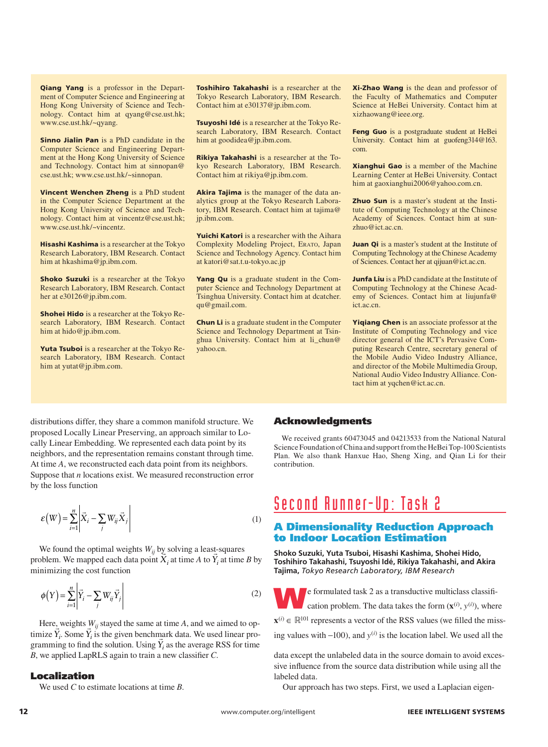Qiang Yang is a professor in the Department of Computer Science and Engineering at Hong Kong University of Science and Technology. Contact him at qyang@cse.ust.hk; www.cse.ust.hk/~qyang.

Sinno Jialin Pan is a PhD candidate in the Computer Science and Engineering Department at the Hong Kong University of Science and Technology. Contact him at sinnopan@ cse.ust.hk; www.cse.ust.hk/~sinnopan.

Vincent Wenchen Zheng is a PhD student in the Computer Science Department at the Hong Kong University of Science and Technology. Contact him at vincentz@cse.ust.hk; www.cse.ust.hk/~vincentz.

Hisashi Kashima is a researcher at the Tokyo Research Laboratory, IBM Research. Contact him at hkashima@jp.ibm.com.

Shoko Suzuki is a researcher at the Tokyo Research Laboratory, IBM Research. Contact her at e30126@jp.ibm.com.

Shohei Hido is a researcher at the Tokyo Research Laboratory, IBM Research. Contact him at hido@jp.ibm.com.

Yuta Tsuboi is a researcher at the Tokyo Research Laboratory, IBM Research. Contact him at yutat@jp.ibm.com.

Toshihiro Takahashi is a researcher at the Tokyo Research Laboratory, IBM Research. Contact him at e30137@jp.ibm.com.

Tsuyoshi Idé is a researcher at the Tokyo Research Laboratory, IBM Research. Contact him at goodidea@jp.ibm.com.

Rikiya Takahashi is a researcher at the Tokyo Research Laboratory, IBM Research. Contact him at rikiya@jp.ibm.com.

**Akira Tajima** is the manager of the data analytics group at the Tokyo Research Laboratory, IBM Research. Contact him at tajima@ jp.ibm.com.

Yuichi Katori is a researcher with the Aihara Complexity Modeling Project, ERATO, Japan Science and Technology Agency. Contact him at katori@sat.t.u-tokyo.ac.jp

Yang Qu is a graduate student in the Computer Science and Technology Department at Tsinghua University. Contact him at dcatcher. qu@gmail.com.

Chun Li is a graduate student in the Computer Science and Technology Department at Tsinghua University. Contact him at li\_chun@ yahoo.cn.

Xi-Zhao Wang is the dean and professor of the Faculty of Mathematics and Computer Science at HeBei University. Contact him at xizhaowang@ieee.org.

Feng Guo is a postgraduate student at HeBei University. Contact him at guofeng314@163. com.

Xianghui Gao is a member of the Machine Learning Center at HeBei University. Contact him at gaoxianghui2006@yahoo.com.cn.

**Zhuo Sun** is a master's student at the Institute of Computing Technology at the Chinese Academy of Sciences. Contact him at sunzhuo@ict.ac.cn.

Juan Qi is a master's student at the Institute of Computing Technology at the Chinese Academy of Sciences. Contact her at qijuan@ict.ac.cn.

Junfa Liu is a PhD candidate at the Institute of Computing Technology at the Chinese Academy of Sciences. Contact him at liujunfa@ ict.ac.cn.

Yiqiang Chen is an associate professor at the Institute of Computing Technology and vice director general of the ICT's Pervasive Computing Research Centre, secretary general of the Mobile Audio Video Industry Alliance, and director of the Mobile Multimedia Group, National Audio Video Industry Alliance. Contact him at yqchen@ict.ac.cn.

distributions differ, they share a common manifold structure. We proposed Locally Linear Preserving, an approach similar to Locally Linear Embedding. We represented each data point by its neighbors, and the representation remains constant through time. At time *A*, we reconstructed each data point from its neighbors. Suppose that *n* locations exist. We measured reconstruction error by the loss function

$$
\varepsilon\!\left(W\right) = \sum_{i=1}^{n} \left| \vec{X}_i - \sum_{j} W_{ij} \vec{X}_j \right| \tag{1}
$$

We found the optimal weights  $W_{ii}$  by solving a least-squares We found the optimal weights  $W_{ij}$  by solving a least-squares problem. We mapped each data point  $\overline{X}_i$  at time *A* to  $\overline{Y}_i$  at time *B* by minimizing the cost function

$$
\phi(Y) = \sum_{i=1}^{n} \left| \vec{Y}_i - \sum_j W_{ij} \vec{Y}_j \right| \tag{2}
$$

Here, weights  $W_{ii}$  stayed the same at time  $A$ , and we aimed to op-Here, weights  $W_{ij}$  stayed the same at time A, and we aimed to optimize  $\overline{Y}_i$ . Some  $\overline{Y}_i$  is the given benchmark data. We used linear protimize  $Y_i$ . Some  $Y_i$  is the given benchmark data. We used linear programming to find the solution. Using  $\overline{Y}_i$  as the average RSS for time *B*, we applied LapRLS again to train a new classifier *C*.

#### Localization

We used *C* to estimate locations at time *B*.

#### Acknowledgments

We received grants 60473045 and 04213533 from the National Natural Science Foundation of China and support from the HeBei Top-100 Scientists Plan. We also thank Hanxue Hao, Sheng Xing, and Qian Li for their contribution.

## Second Runner-Up: Task 2

#### A Dimensionality Reduction Approach to Indoor Location Estimation

**Shoko Suzuki, Yuta Tsuboi, Hisashi Kashima, Shohei Hido, Toshihiro Takahashi, Tsuyoshi Idé, Rikiya Takahashi, and Akira Tajima,** *Tokyo Research Laboratory, IBM Research*

We formulated task 2 as a transductive multiclass classifi-

cation problem. The data takes the form  $(\mathbf{x}^{(i)}, y^{(i)})$ , where

 $\mathbf{x}^{(i)} \in \mathbb{R}^{101}$  represents a vector of the RSS values (we filled the miss-

ing values with  $-100$ ), and  $y$ <sup>(*i*)</sup> is the location label. We used all the

data except the unlabeled data in the source domain to avoid excessive influence from the source data distribution while using all the labeled data.

Our approach has two steps. First, we used a Laplacian eigen-